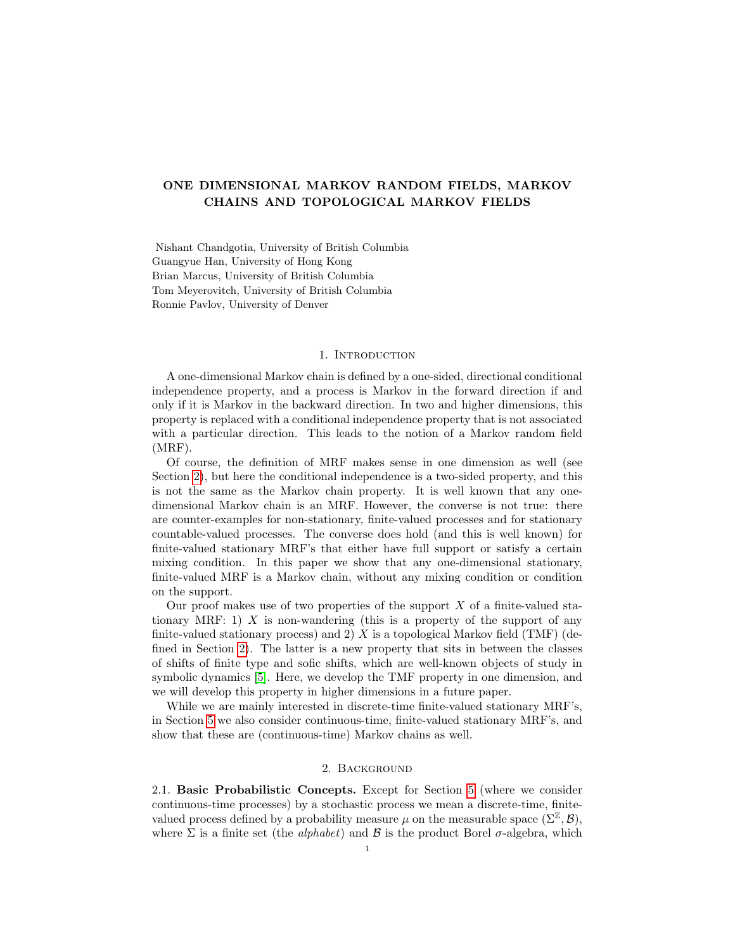# ONE DIMENSIONAL MARKOV RANDOM FIELDS, MARKOV CHAINS AND TOPOLOGICAL MARKOV FIELDS

Nishant Chandgotia, University of British Columbia Guangyue Han, University of Hong Kong Brian Marcus, University of British Columbia Tom Meyerovitch, University of British Columbia Ronnie Pavlov, University of Denver

### 1. INTRODUCTION

A one-dimensional Markov chain is defined by a one-sided, directional conditional independence property, and a process is Markov in the forward direction if and only if it is Markov in the backward direction. In two and higher dimensions, this property is replaced with a conditional independence property that is not associated with a particular direction. This leads to the notion of a Markov random field (MRF).

Of course, the definition of MRF makes sense in one dimension as well (see Section [2\)](#page-0-0), but here the conditional independence is a two-sided property, and this is not the same as the Markov chain property. It is well known that any onedimensional Markov chain is an MRF. However, the converse is not true: there are counter-examples for non-stationary, finite-valued processes and for stationary countable-valued processes. The converse does hold (and this is well known) for finite-valued stationary MRF's that either have full support or satisfy a certain mixing condition. In this paper we show that any one-dimensional stationary, finite-valued MRF is a Markov chain, without any mixing condition or condition on the support.

Our proof makes use of two properties of the support  $X$  of a finite-valued stationary MRF: 1)  $X$  is non-wandering (this is a property of the support of any finite-valued stationary process) and 2)  $X$  is a topological Markov field (TMF) (defined in Section [2\)](#page-0-0). The latter is a new property that sits in between the classes of shifts of finite type and sofic shifts, which are well-known objects of study in symbolic dynamics [\[5\]](#page-14-0). Here, we develop the TMF property in one dimension, and we will develop this property in higher dimensions in a future paper.

While we are mainly interested in discrete-time finite-valued stationary MRF's, in Section [5](#page-11-0) we also consider continuous-time, finite-valued stationary MRF's, and show that these are (continuous-time) Markov chains as well.

#### 2. Background

<span id="page-0-0"></span>2.1. Basic Probabilistic Concepts. Except for Section [5](#page-11-0) (where we consider continuous-time processes) by a stochastic process we mean a discrete-time, finitevalued process defined by a probability measure  $\mu$  on the measurable space  $(\Sigma^{\mathbb{Z}}, \mathcal{B}),$ where  $\Sigma$  is a finite set (the *alphabet*) and  $\mathcal B$  is the product Borel  $\sigma$ -algebra, which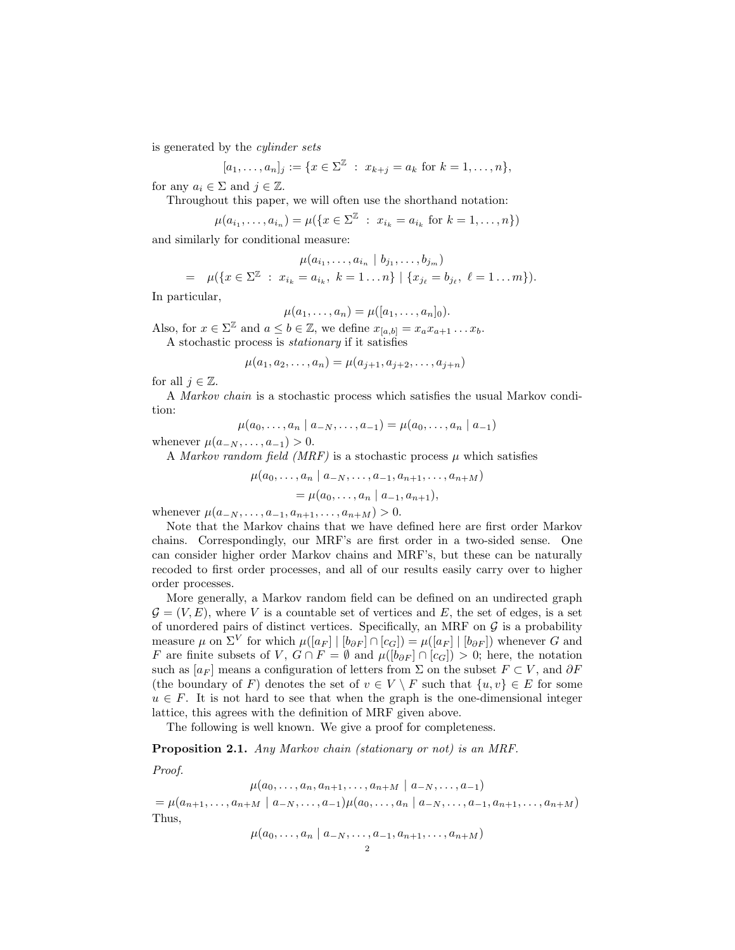is generated by the cylinder sets

$$
[a_1, \ldots, a_n]_j := \{ x \in \Sigma^{\mathbb{Z}} : x_{k+j} = a_k \text{ for } k = 1, \ldots, n \},\
$$

for any  $a_i \in \Sigma$  and  $i \in \mathbb{Z}$ .

Throughout this paper, we will often use the shorthand notation:

$$
\mu(a_{i_1},...,a_{i_n}) = \mu(\lbrace x \in \Sigma \rvert x : x_{i_k} = a_{i_k} \text{ for } k = 1,...,n \rbrace)
$$

and similarly for conditional measure:

$$
\mu(a_{i_1}, \ldots, a_{i_n} \mid b_{j_1}, \ldots, b_{j_m})
$$
\n
$$
= \mu(\{x \in \Sigma^{\mathbb{Z}} : x_{i_k} = a_{i_k}, k = 1 \ldots n\} \mid \{x_{j_\ell} = b_{j_\ell}, \ell = 1 \ldots m\}).
$$

In particular,

$$
\mu(a_1,\ldots,a_n)=\mu([a_1,\ldots,a_n]_0).
$$

Also, for  $x \in \Sigma^{\mathbb{Z}}$  and  $a \leq b \in \mathbb{Z}$ , we define  $x_{[a,b]} = x_a x_{a+1} \dots x_b$ .

A stochastic process is stationary if it satisfies

$$
\mu(a_1, a_2, \dots, a_n) = \mu(a_{j+1}, a_{j+2}, \dots, a_{j+n})
$$

for all  $j \in \mathbb{Z}$ .

A Markov chain is a stochastic process which satisfies the usual Markov condition:

$$
\mu(a_0, \ldots, a_n \mid a_{-N}, \ldots, a_{-1}) = \mu(a_0, \ldots, a_n \mid a_{-1})
$$

whenever  $\mu(a_{-N},...,a_{-1}) > 0$ .

A Markov random field (MRF) is a stochastic process  $\mu$  which satisfies

$$
\mu(a_0, \dots, a_n \mid a_{-N}, \dots, a_{-1}, a_{n+1}, \dots, a_{n+M})
$$
  
=  $\mu(a_0, \dots, a_n \mid a_{-1}, a_{n+1}),$ 

whenever  $\mu(a_{-N}, \ldots, a_{-1}, a_{n+1}, \ldots, a_{n+M}) > 0$ .

Note that the Markov chains that we have defined here are first order Markov chains. Correspondingly, our MRF's are first order in a two-sided sense. One can consider higher order Markov chains and MRF's, but these can be naturally recoded to first order processes, and all of our results easily carry over to higher order processes.

More generally, a Markov random field can be defined on an undirected graph  $\mathcal{G} = (V, E)$ , where V is a countable set of vertices and E, the set of edges, is a set of unordered pairs of distinct vertices. Specifically, an MRF on  $G$  is a probability measure  $\mu$  on  $\Sigma^V$  for which  $\mu([a_F] | [b_{\partial F}] \cap [c_G]) = \mu([a_F] | [b_{\partial F}])$  whenever G and F are finite subsets of V,  $G \cap F = \emptyset$  and  $\mu([\mathbb{b}_{\partial F}] \cap [c_G]) > 0$ ; here, the notation such as  $[a_F]$  means a configuration of letters from  $\Sigma$  on the subset  $F \subset V$ , and  $\partial F$ (the boundary of F) denotes the set of  $v \in V \setminus F$  such that  $\{u, v\} \in E$  for some  $u \in F$ . It is not hard to see that when the graph is the one-dimensional integer lattice, this agrees with the definition of MRF given above.

The following is well known. We give a proof for completeness.

### <span id="page-1-0"></span>Proposition 2.1. Any Markov chain (stationary or not) is an MRF.

Proof.

$$
\mu(a_0, \ldots, a_n, a_{n+1}, \ldots, a_{n+M} \mid a_{-N}, \ldots, a_{-1})
$$
  
=  $\mu(a_{n+1}, \ldots, a_{n+M} \mid a_{-N}, \ldots, a_{-1}) \mu(a_0, \ldots, a_n \mid a_{-N}, \ldots, a_{-1}, a_{n+1}, \ldots, a_{n+M})$   
Thus,

$$
\mu(a_0,\ldots,a_n\mid a_{-N},\ldots,a_{-1},a_{n+1},\ldots,a_{n+M})
$$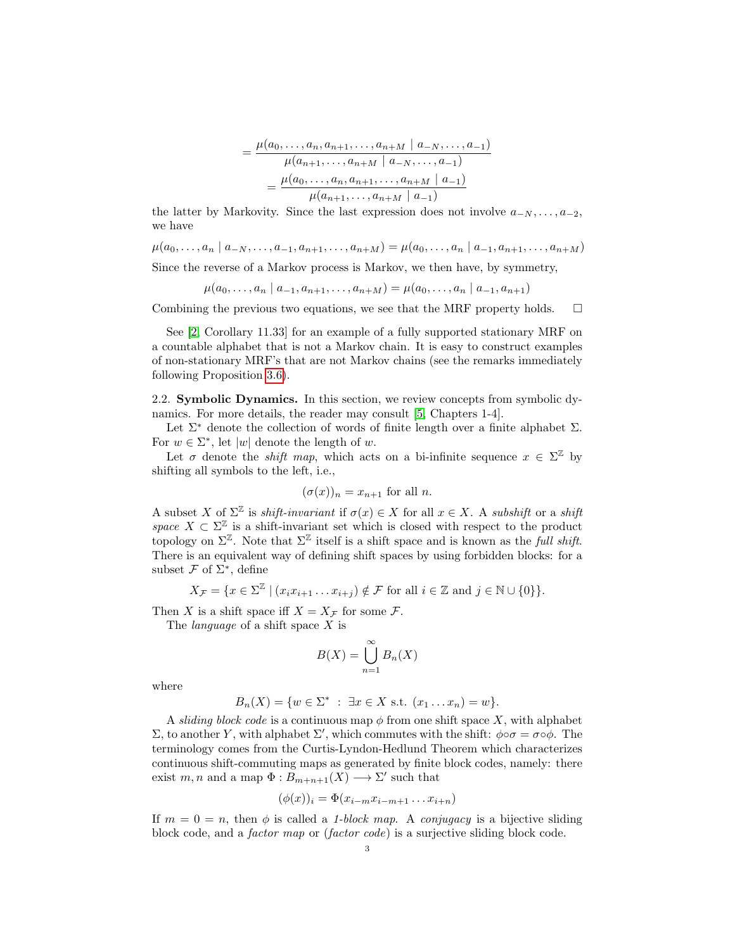$$
= \frac{\mu(a_0, \ldots, a_n, a_{n+1}, \ldots, a_{n+M} \mid a_{-N}, \ldots, a_{-1})}{\mu(a_{n+1}, \ldots, a_{n+M} \mid a_{-N}, \ldots, a_{-1})}
$$

$$
= \frac{\mu(a_0, \ldots, a_n, a_{n+1}, \ldots, a_{n+M} \mid a_{-1})}{\mu(a_{n+1}, \ldots, a_{n+M} \mid a_{-1})}
$$

the latter by Markovity. Since the last expression does not involve  $a_{-N}, \ldots, a_{-2}$ , we have

 $\mu(a_0, \ldots, a_n \mid a_{-N}, \ldots, a_{-1}, a_{n+1}, \ldots, a_{n+M}) = \mu(a_0, \ldots, a_n \mid a_{-1}, a_{n+1}, \ldots, a_{n+M})$ 

Since the reverse of a Markov process is Markov, we then have, by symmetry,

$$
\mu(a_0, \ldots, a_n \mid a_{-1}, a_{n+1}, \ldots, a_{n+M}) = \mu(a_0, \ldots, a_n \mid a_{-1}, a_{n+1})
$$

Combining the previous two equations, we see that the MRF property holds.  $\square$ 

See [\[2,](#page-14-1) Corollary 11.33] for an example of a fully supported stationary MRF on a countable alphabet that is not a Markov chain. It is easy to construct examples of non-stationary MRF's that are not Markov chains (see the remarks immediately following Proposition [3.6\)](#page-6-0).

<span id="page-2-0"></span>2.2. Symbolic Dynamics. In this section, we review concepts from symbolic dynamics. For more details, the reader may consult [\[5,](#page-14-0) Chapters 1-4].

Let  $\Sigma^*$  denote the collection of words of finite length over a finite alphabet  $\Sigma$ . For  $w \in \Sigma^*$ , let  $|w|$  denote the length of w.

Let  $\sigma$  denote the *shift map*, which acts on a bi-infinite sequence  $x \in \Sigma^{\mathbb{Z}}$  by shifting all symbols to the left, i.e.,

$$
(\sigma(x))_n = x_{n+1}
$$
 for all n.

A subset X of  $\Sigma^{\mathbb{Z}}$  is *shift-invariant* if  $\sigma(x) \in X$  for all  $x \in X$ . A *subshift* or a *shift* space  $X \subset \Sigma^{\mathbb{Z}}$  is a shift-invariant set which is closed with respect to the product topology on  $\Sigma^{\mathbb{Z}}$ . Note that  $\Sigma^{\mathbb{Z}}$  itself is a shift space and is known as the *full shift*. There is an equivalent way of defining shift spaces by using forbidden blocks: for a subset  $\mathcal F$  of  $\Sigma^*$ , define

$$
X_{\mathcal{F}} = \{ x \in \Sigma^{\mathbb{Z}} \mid (x_i x_{i+1} \dots x_{i+j}) \notin \mathcal{F} \text{ for all } i \in \mathbb{Z} \text{ and } j \in \mathbb{N} \cup \{0\} \}.
$$

Then X is a shift space iff  $X = X_{\mathcal{F}}$  for some  $\mathcal{F}$ .

The *language* of a shift space  $X$  is

$$
B(X) = \bigcup_{n=1}^{\infty} B_n(X)
$$

where

$$
B_n(X) = \{w \in \Sigma^* : \exists x \in X \text{ s.t. } (x_1 \dots x_n) = w\}.
$$

A sliding block code is a continuous map  $\phi$  from one shift space X, with alphabet Σ, to another Y, with alphabet Σ', which commutes with the shift:  $\phi \circ \sigma = \sigma \circ \phi$ . The terminology comes from the Curtis-Lyndon-Hedlund Theorem which characterizes continuous shift-commuting maps as generated by finite block codes, namely: there exist m, n and a map  $\Phi: B_{m+n+1}(X) \longrightarrow \Sigma'$  such that

$$
(\phi(x))_i = \Phi(x_{i-m}x_{i-m+1}\dots x_{i+n})
$$

If  $m = 0 = n$ , then  $\phi$  is called a 1-block map. A conjugacy is a bijective sliding block code, and a *factor map* or *(factor code)* is a surjective sliding block code.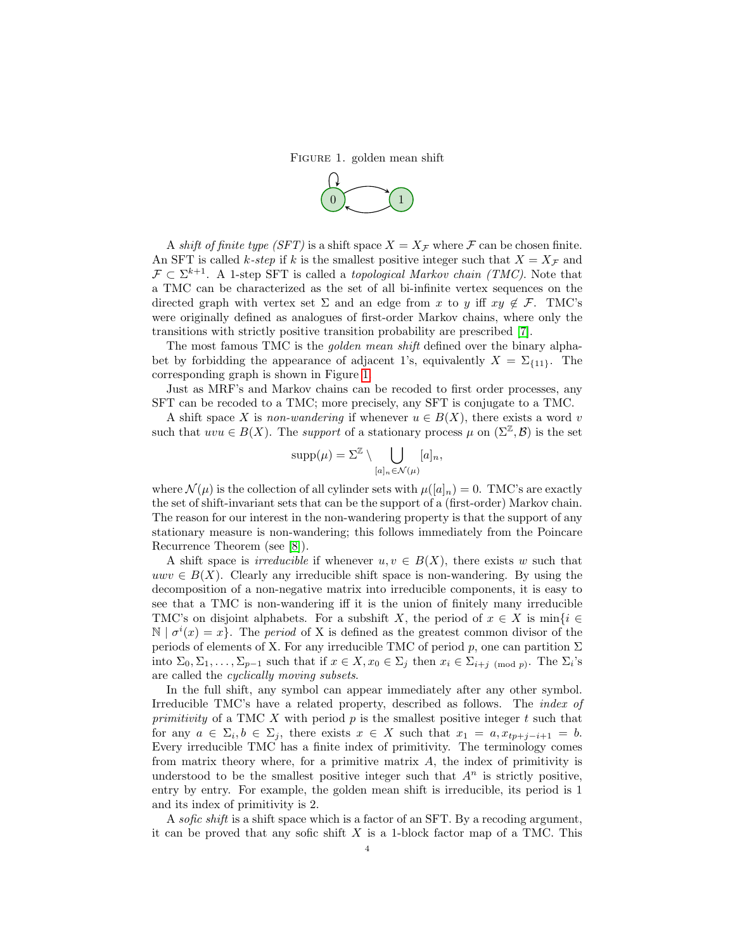Figure 1. golden mean shift

<span id="page-3-0"></span>

A shift of finite type (SFT) is a shift space  $X = X_{\mathcal{F}}$  where  $\mathcal{F}$  can be chosen finite. An SFT is called k-step if k is the smallest positive integer such that  $X = X_{\mathcal{F}}$  and  $\mathcal{F} \subset \Sigma^{k+1}$ . A 1-step SFT is called a *topological Markov chain (TMC)*. Note that a TMC can be characterized as the set of all bi-infinite vertex sequences on the directed graph with vertex set  $\Sigma$  and an edge from x to y iff  $xy \notin \mathcal{F}$ . TMC's were originally defined as analogues of first-order Markov chains, where only the transitions with strictly positive transition probability are prescribed [\[7\]](#page-14-2).

The most famous TMC is the *golden mean shift* defined over the binary alphabet by forbidding the appearance of adjacent 1's, equivalently  $X = \Sigma_{\{11\}}$ . The corresponding graph is shown in Figure [1.](#page-3-0)

Just as MRF's and Markov chains can be recoded to first order processes, any SFT can be recoded to a TMC; more precisely, any SFT is conjugate to a TMC.

A shift space X is non-wandering if whenever  $u \in B(X)$ , there exists a word v such that  $uu \in B(X)$ . The support of a stationary process  $\mu$  on  $(\Sigma^{\mathbb{Z}}, \mathcal{B})$  is the set

$$
supp(\mu) = \Sigma^{\mathbb{Z}} \setminus \bigcup_{[a]_n \in \mathcal{N}(\mu)} [a]_n,
$$

where  $\mathcal{N}(\mu)$  is the collection of all cylinder sets with  $\mu([a]_n) = 0$ . TMC's are exactly the set of shift-invariant sets that can be the support of a (first-order) Markov chain. The reason for our interest in the non-wandering property is that the support of any stationary measure is non-wandering; this follows immediately from the Poincare Recurrence Theorem (see [\[8\]](#page-14-3)).

A shift space is *irreducible* if whenever  $u, v \in B(X)$ , there exists w such that  $uwv \in B(X)$ . Clearly any irreducible shift space is non-wandering. By using the decomposition of a non-negative matrix into irreducible components, it is easy to see that a TMC is non-wandering iff it is the union of finitely many irreducible TMC's on disjoint alphabets. For a subshift X, the period of  $x \in X$  is min $\{i \in$  $\mathbb{N} \mid \sigma^{i}(x) = x$ . The *period* of X is defined as the greatest common divisor of the periods of elements of X. For any irreducible TMC of period  $p$ , one can partition  $\Sigma$ into  $\Sigma_0, \Sigma_1, \ldots, \Sigma_{p-1}$  such that if  $x \in X, x_0 \in \Sigma_j$  then  $x_i \in \Sigma_{i+j \pmod{p}}$ . The  $\Sigma_i$ 's are called the cyclically moving subsets.

In the full shift, any symbol can appear immediately after any other symbol. Irreducible TMC's have a related property, described as follows. The index of primitivity of a TMC  $X$  with period  $p$  is the smallest positive integer  $t$  such that for any  $a \in \Sigma_i, b \in \Sigma_j$ , there exists  $x \in X$  such that  $x_1 = a, x_{tp+j-i+1} = b$ . Every irreducible TMC has a finite index of primitivity. The terminology comes from matrix theory where, for a primitive matrix  $A$ , the index of primitivity is understood to be the smallest positive integer such that  $A<sup>n</sup>$  is strictly positive, entry by entry. For example, the golden mean shift is irreducible, its period is 1 and its index of primitivity is 2.

A sofic shift is a shift space which is a factor of an SFT. By a recoding argument, it can be proved that any sofic shift  $X$  is a 1-block factor map of a TMC. This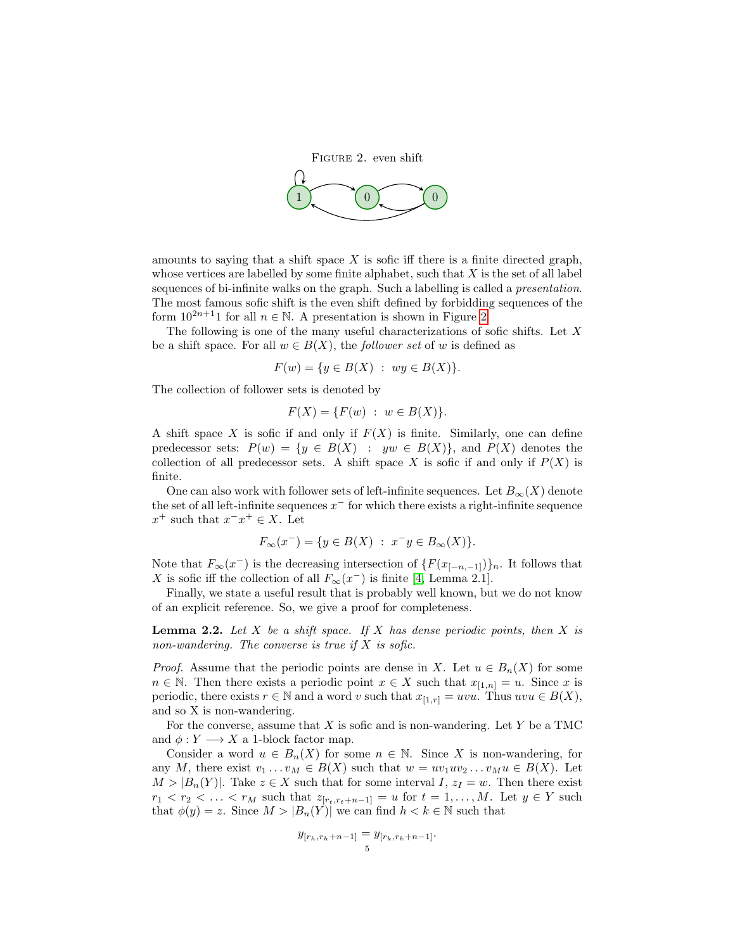<span id="page-4-0"></span>

amounts to saying that a shift space  $X$  is sofic iff there is a finite directed graph, whose vertices are labelled by some finite alphabet, such that  $X$  is the set of all label sequences of bi-infinite walks on the graph. Such a labelling is called a *presentation*. The most famous sofic shift is the even shift defined by forbidding sequences of the form  $10^{2n+1}1$  for all  $n \in \mathbb{N}$ . A presentation is shown in Figure [2.](#page-4-0)

The following is one of the many useful characterizations of sofic shifts. Let X be a shift space. For all  $w \in B(X)$ , the *follower set* of w is defined as

$$
F(w) = \{ y \in B(X) : wy \in B(X) \}.
$$

The collection of follower sets is denoted by

$$
F(X) = \{ F(w) : w \in B(X) \}.
$$

A shift space X is sofic if and only if  $F(X)$  is finite. Similarly, one can define predecessor sets:  $P(w) = \{y \in B(X) : yw \in B(X)\}\$ , and  $P(X)$  denotes the collection of all predecessor sets. A shift space X is sofic if and only if  $P(X)$  is finite.

One can also work with follower sets of left-infinite sequences. Let  $B_{\infty}(X)$  denote the set of all left-infinite sequences  $x^-$  for which there exists a right-infinite sequence  $x^+$  such that  $x^-x^+ \in X$ . Let

$$
F_{\infty}(x^{-}) = \{ y \in B(X) : x^{-}y \in B_{\infty}(X) \}.
$$

Note that  $F_{\infty}(x^{-})$  is the decreasing intersection of  $\{F(x_{[-n,-1]})\}_n$ . It follows that X is sofic iff the collection of all  $F_{\infty}(x^-)$  is finite [\[4,](#page-14-4) Lemma 2.1].

Finally, we state a useful result that is probably well known, but we do not know of an explicit reference. So, we give a proof for completeness.

<span id="page-4-1"></span>**Lemma 2.2.** Let X be a shift space. If X has dense periodic points, then X is non-wandering. The converse is true if  $X$  is sofic.

*Proof.* Assume that the periodic points are dense in X. Let  $u \in B_n(X)$  for some  $n \in \mathbb{N}$ . Then there exists a periodic point  $x \in X$  such that  $x_{[1,n]} = u$ . Since x is periodic, there exists  $r \in \mathbb{N}$  and a word v such that  $x_{[1,r]} = uvu$ . Thus  $uvu \in B(X)$ , and so X is non-wandering.

For the converse, assume that  $X$  is sofic and is non-wandering. Let Y be a TMC and  $\phi: Y \longrightarrow X$  a 1-block factor map.

Consider a word  $u \in B_n(X)$  for some  $n \in \mathbb{N}$ . Since X is non-wandering, for any M, there exist  $v_1 \dots v_M \in B(X)$  such that  $w = uv_1uv_2 \dots v_Mu \in B(X)$ . Let  $M > |B_n(Y)|$ . Take  $z \in X$  such that for some interval I,  $z<sub>I</sub> = w$ . Then there exist  $r_1 < r_2 < \ldots < r_M$  such that  $z_{[r_t,r_t+n-1]} = u$  for  $t = 1,\ldots,M$ . Let  $y \in Y$  such that  $\phi(y) = z$ . Since  $M > |B_n(Y)|$  we can find  $h < k \in \mathbb{N}$  such that

$$
y_{[r_h, r_h + n-1]} = y_{[r_k, r_k + n-1]}.
$$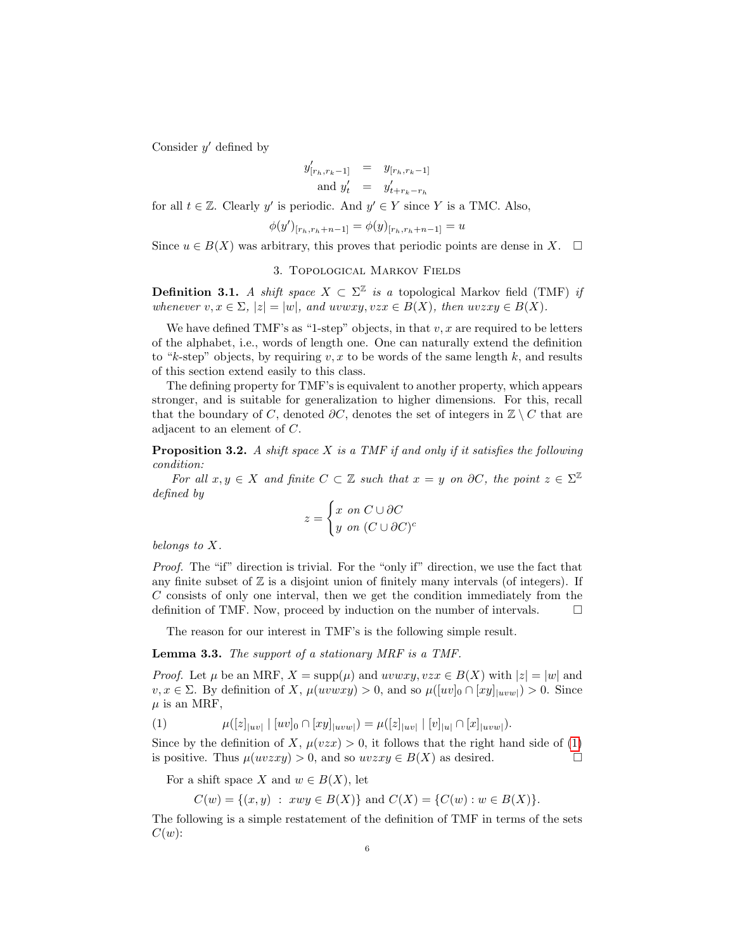Consider  $y'$  defined by

$$
y'_{[r_h, r_k-1]}
$$
 =  $y_{[r_h, r_k-1]}$   
and  $y'_t$  =  $y'_{t+r_k-r_h}$ 

for all  $t \in \mathbb{Z}$ . Clearly y' is periodic. And  $y' \in Y$  since Y is a TMC. Also,

$$
\phi(y')_{[r_h,r_h+n-1]} = \phi(y)_{[r_h,r_h+n-1]} = u
$$

Since  $u \in B(X)$  was arbitrary, this proves that periodic points are dense in X.  $\Box$ 

## 3. Topological Markov Fields

**Definition 3.1.** A shift space  $X \subset \Sigma^{\mathbb{Z}}$  is a topological Markov field (TMF) if whenever  $v, x \in \Sigma$ ,  $|z| = |w|$ , and uvwxy,  $vzx \in B(X)$ , then  $uvzxy \in B(X)$ .

We have defined TMF's as "1-step" objects, in that  $v, x$  are required to be letters of the alphabet, i.e., words of length one. One can naturally extend the definition to "k-step" objects, by requiring  $v, x$  to be words of the same length k, and results of this section extend easily to this class.

The defining property for TMF's is equivalent to another property, which appears stronger, and is suitable for generalization to higher dimensions. For this, recall that the boundary of C, denoted  $\partial C$ , denotes the set of integers in  $\mathbb{Z} \setminus C$  that are adjacent to an element of C.

**Proposition 3.2.** A shift space X is a TMF if and only if it satisfies the following condition:

For all  $x, y \in X$  and finite  $C \subset \mathbb{Z}$  such that  $x = y$  on  $\partial C$ , the point  $z \in \Sigma^{\mathbb{Z}}$ defined by

$$
z = \begin{cases} x & \text{on } C \cup \partial C \\ y & \text{on } (C \cup \partial C)^c \end{cases}
$$

belongs to X.

Proof. The "if" direction is trivial. For the "only if" direction, we use the fact that any finite subset of  $\mathbb Z$  is a disjoint union of finitely many intervals (of integers). If C consists of only one interval, then we get the condition immediately from the definition of TMF. Now, proceed by induction on the number of intervals.  $\Box$ 

The reason for our interest in TMF's is the following simple result.

<span id="page-5-1"></span>Lemma 3.3. The support of a stationary MRF is a TMF.

*Proof.* Let  $\mu$  be an MRF,  $X = \text{supp}(\mu)$  and  $uvwxy, vzx \in B(X)$  with  $|z| = |w|$  and  $v, x \in \Sigma$ . By definition of X,  $\mu(uv wxy) > 0$ , and so  $\mu([uv]_0 \cap [xy]_{|uvw|}) > 0$ . Since  $\mu$  is an MRF,

<span id="page-5-0"></span>(1) 
$$
\mu([z]_{|uv|} | [uv]_0 \cap [xy]_{|uvw|}) = \mu([z]_{|uv|} | [v]_{|u|} \cap [x]_{|uvw|}).
$$

Since by the definition of X,  $\mu(vzx) > 0$ , it follows that the right hand side of [\(1\)](#page-5-0) is positive. Thus  $\mu(uvzxy) > 0$ , and so  $uvzxy \in B(X)$  as desired.

For a shift space X and  $w \in B(X)$ , let

$$
C(w) = \{(x, y) : xwy \in B(X)\} \text{ and } C(X) = \{C(w) : w \in B(X)\}.
$$

The following is a simple restatement of the definition of TMF in terms of the sets  $C(w)$ :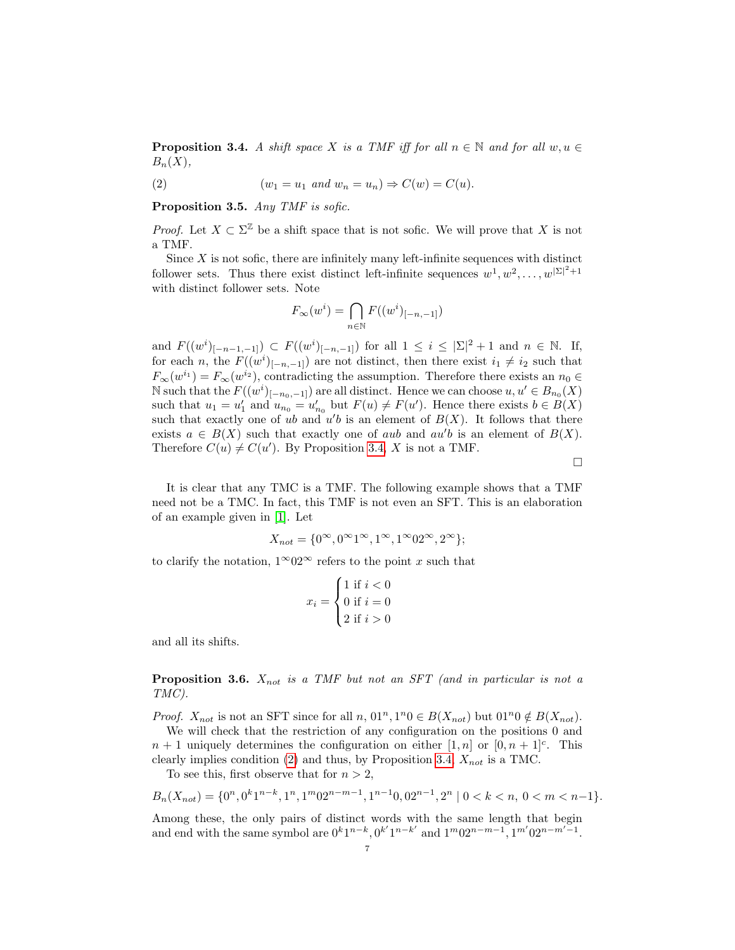<span id="page-6-1"></span>**Proposition 3.4.** A shift space X is a TMF iff for all  $n \in \mathbb{N}$  and for all  $w, u \in$  $B_n(X),$ 

<span id="page-6-2"></span>(2) 
$$
(w_1 = u_1 \text{ and } w_n = u_n) \Rightarrow C(w) = C(u).
$$

<span id="page-6-3"></span>Proposition 3.5. Any TMF is sofic.

*Proof.* Let  $X \subset \Sigma^{\mathbb{Z}}$  be a shift space that is not sofic. We will prove that X is not a TMF.

Since  $X$  is not sofic, there are infinitely many left-infinite sequences with distinct follower sets. Thus there exist distinct left-infinite sequences  $w^1, w^2, \ldots, w^{|\Sigma|^2+1}$ with distinct follower sets. Note

$$
F_{\infty}(w^i) = \bigcap_{n \in \mathbb{N}} F((w^i)_{[-n,-1]})
$$

and  $F((w^{i})_{[-n-1,-1]}) \subset F((w^{i})_{[-n,-1]})$  for all  $1 \leq i \leq |\Sigma|^2 + 1$  and  $n \in \mathbb{N}$ . If, for each n, the  $F((w^{i})_{[-n,-1]})$  are not distinct, then there exist  $i_1 \neq i_2$  such that  $F_{\infty}(w^{i_1}) = F_{\infty}(w^{i_2})$ , contradicting the assumption. Therefore there exists an  $n_0 \in$ N such that the  $F((w_i)_{[-n_0,-1]})$  are all distinct. Hence we can choose  $u, u' \in B_{n_0}(X)$ such that  $u_1 = u'_1$  and  $u_{n_0} = u'_{n_0}$  but  $F(u) \neq F(u')$ . Hence there exists  $b \in B(X)$ such that exactly one of ub and  $u'b$  is an element of  $B(X)$ . It follows that there exists  $a \in B(X)$  such that exactly one of *aub* and *au'b* is an element of  $B(X)$ . Therefore  $C(u) \neq C(u')$ . By Proposition [3.4,](#page-6-1) X is not a TMF.

 $\Box$ 

It is clear that any TMC is a TMF. The following example shows that a TMF need not be a TMC. In fact, this TMF is not even an SFT. This is an elaboration of an example given in [\[1\]](#page-14-5). Let

$$
X_{not}=\{0^\infty,0^\infty1^\infty,1^\infty,1^\infty02^\infty,2^\infty\};
$$

to clarify the notation,  $1^{\infty}02^{\infty}$  refers to the point x such that

$$
x_i = \begin{cases} 1 \text{ if } i < 0 \\ 0 \text{ if } i = 0 \\ 2 \text{ if } i > 0 \end{cases}
$$

and all its shifts.

<span id="page-6-0"></span>**Proposition 3.6.**  $X_{not}$  is a TMF but not an SFT (and in particular is not a TMC).

*Proof.*  $X_{not}$  is not an SFT since for all  $n, 01^n, 1^n0 \in B(X_{not})$  but  $01^n0 \notin B(X_{not}).$ 

We will check that the restriction of any configuration on the positions 0 and  $n+1$  uniquely determines the configuration on either  $[1,n]$  or  $[0,n+1]$ <sup>c</sup>. This clearly implies condition [\(2\)](#page-6-2) and thus, by Proposition [3.4,](#page-6-1)  $X_{not}$  is a TMC.

To see this, first observe that for  $n > 2$ ,

$$
B_n(X_{not}) = \{0^n, 0^k 1^{n-k}, 1^n, 1^m 0 2^{n-m-1}, 1^{n-1} 0, 0 2^{n-1}, 2^n \mid 0 < k < n, 0 < m < n-1\}.
$$

Among these, the only pairs of distinct words with the same length that begin and end with the same symbol are  $0^k1^{n-k}$ ,  $0^{k'}1^{n-k'}$  and  $1^m02^{n-m-1}$ ,  $1^{m'}02^{n-m'-1}$ .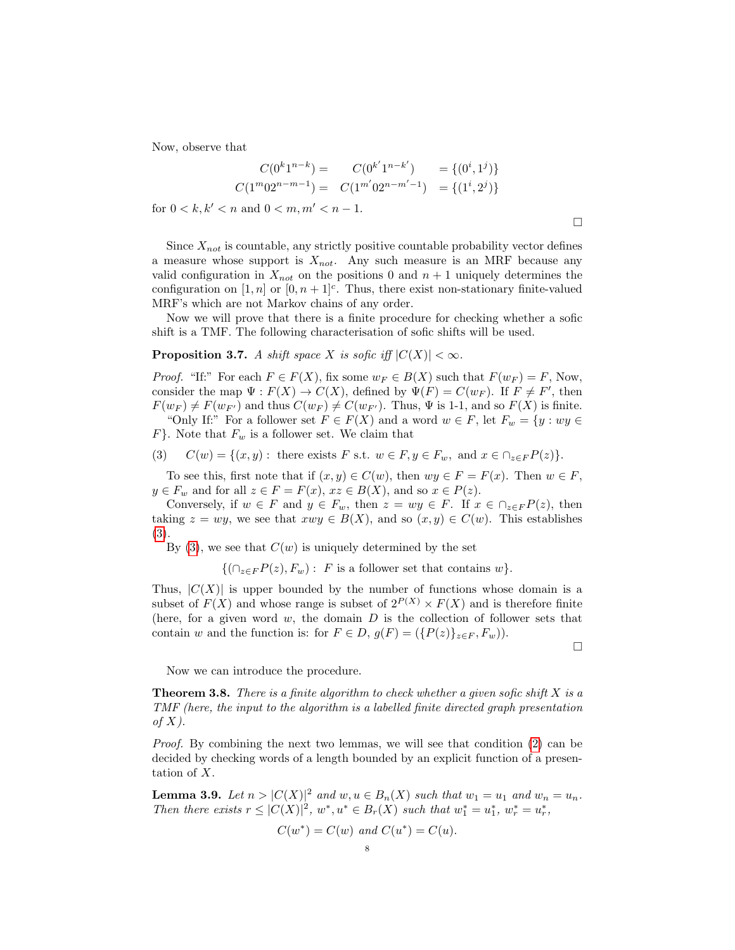Now, observe that

$$
C(0^{k}1^{n-k}) = C(0^{k'}1^{n-k'}) = \{(0^{i}, 1^{j})\}
$$
  

$$
C(1^{m}02^{n-m-1}) = C(1^{m'}02^{n-m'-1}) = \{(1^{i}, 2^{j})\}
$$

for  $0 < k, k' < n$  and  $0 < m, m' < n - 1$ .

Since  $X_{not}$  is countable, any strictly positive countable probability vector defines a measure whose support is  $X_{not}$ . Any such measure is an MRF because any valid configuration in  $X_{not}$  on the positions 0 and  $n + 1$  uniquely determines the configuration on [1, n] or  $[0, n+1]^c$ . Thus, there exist non-stationary finite-valued MRF's which are not Markov chains of any order.

Now we will prove that there is a finite procedure for checking whether a sofic shift is a TMF. The following characterisation of sofic shifts will be used.

# <span id="page-7-3"></span>**Proposition 3.7.** A shift space X is sofic iff  $|C(X)| < \infty$ .

*Proof.* "If:" For each  $F \in F(X)$ , fix some  $w_F \in B(X)$  such that  $F(w_F) = F$ , Now, consider the map  $\Psi : F(X) \to C(X)$ , defined by  $\Psi(F) = C(w_F)$ . If  $F \neq F'$ , then  $F(w_F) \neq F(w_{F'})$  and thus  $C(w_F) \neq C(w_{F'})$ . Thus,  $\Psi$  is 1-1, and so  $F(X)$  is finite.

"Only If:" For a follower set  $F \in F(X)$  and a word  $w \in F$ , let  $F_w = \{y : wy \in F\}$  $F$ . Note that  $F_w$  is a follower set. We claim that

<span id="page-7-0"></span>(3) 
$$
C(w) = \{(x, y) : \text{there exists } F \text{ s.t. } w \in F, y \in F_w, \text{ and } x \in \bigcap_{z \in F} P(z) \}.
$$

To see this, first note that if  $(x, y) \in C(w)$ , then  $wy \in F = F(x)$ . Then  $w \in F$ ,  $y \in F_w$  and for all  $z \in F = F(x)$ ,  $xz \in B(X)$ , and so  $x \in P(z)$ .

Conversely, if  $w \in F$  and  $y \in F_w$ , then  $z = wy \in F$ . If  $x \in \bigcap_{z \in F} P(z)$ , then taking  $z = wy$ , we see that  $xwy \in B(X)$ , and so  $(x, y) \in C(w)$ . This establishes [\(3\)](#page-7-0).

By  $(3)$ , we see that  $C(w)$  is uniquely determined by the set

 $\{(\bigcap_{z\in F} P(z), F_w): F$  is a follower set that contains w.

Thus,  $|C(X)|$  is upper bounded by the number of functions whose domain is a subset of  $F(X)$  and whose range is subset of  $2^{P(X)} \times F(X)$  and is therefore finite (here, for a given word  $w$ , the domain  $D$  is the collection of follower sets that contain w and the function is: for  $F \in D$ ,  $g(F) = (\{P(z)\}_{z \in F}, F_w)$ .

 $\Box$ 

Now we can introduce the procedure.

<span id="page-7-1"></span>**Theorem 3.8.** There is a finite algorithm to check whether a given sofic shift  $X$  is a TMF (here, the input to the algorithm is a labelled finite directed graph presentation of  $X$ ).

Proof. By combining the next two lemmas, we will see that condition [\(2\)](#page-6-2) can be decided by checking words of a length bounded by an explicit function of a presentation of X.

<span id="page-7-2"></span>**Lemma 3.9.** Let  $n > |C(X)|^2$  and  $w, u \in B_n(X)$  such that  $w_1 = u_1$  and  $w_n = u_n$ . Then there exists  $r \leq |C(X)|^2$ ,  $w^*$ ,  $u^* \in B_r(X)$  such that  $w_1^* = u_1^*$ ,  $w_r^* = u_r^*$ ,

$$
C(w^*) = C(w) \text{ and } C(u^*) = C(u).
$$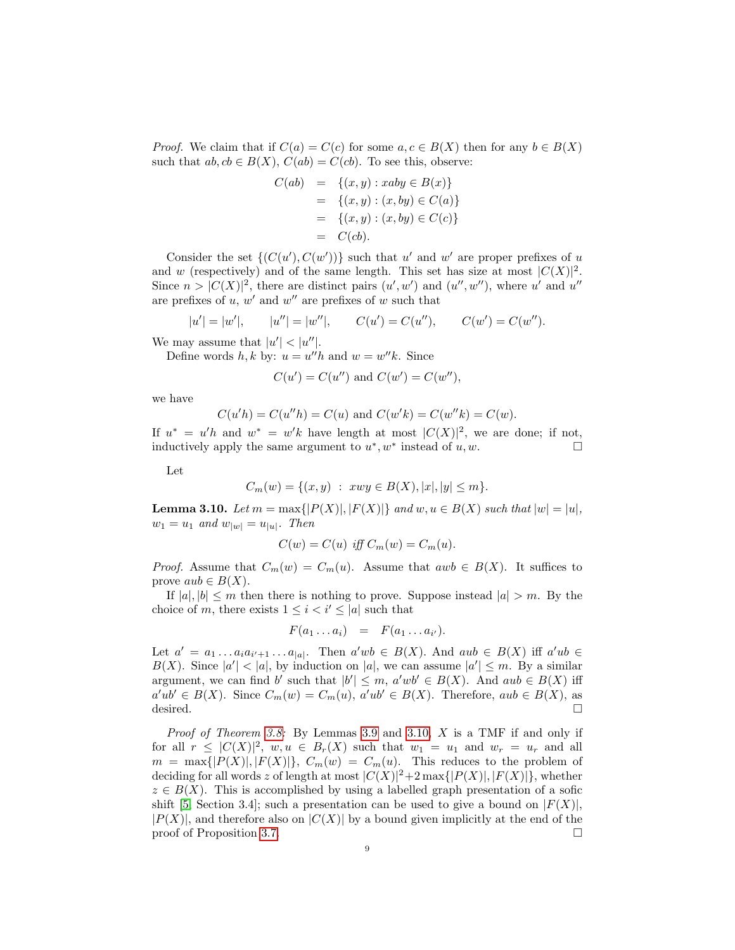*Proof.* We claim that if  $C(a) = C(c)$  for some  $a, c \in B(X)$  then for any  $b \in B(X)$ such that  $ab, cb \in B(X)$ ,  $C(ab) = C(cb)$ . To see this, observe:

$$
C(ab) = \{(x, y) : xaby \in B(x)\} = \{(x, y) : (x, by) \in C(a)\} = \{(x, y) : (x, by) \in C(c)\} = C(cb).
$$

Consider the set  $\{(C(u'), C(w'))\}$  such that u' and w' are proper prefixes of u and w (respectively) and of the same length. This set has size at most  $|C(X)|^2$ . Since  $n > |C(X)|^2$ , there are distinct pairs  $(u', w')$  and  $(u'', w'')$ , where u' and u'' are prefixes of  $u, w'$  and  $w''$  are prefixes of w such that

$$
|u'| = |w'|
$$
,  $|u''| = |w''|$ ,  $C(u') = C(u'')$ ,  $C(w') = C(w'')$ .

We may assume that  $|u'| < |u''|$ .

Define words  $h, k$  by:  $u = u''h$  and  $w = w''k$ . Since

$$
C(u') = C(u'')
$$
 and  $C(w') = C(w'')$ ,

we have

$$
C(u'h) = C(u''h) = C(u)
$$
 and  $C(w'k) = C(w''k) = C(w)$ .

If  $u^* = u'h$  and  $w^* = w'k$  have length at most  $|C(X)|^2$ , we are done; if not, inductively apply the same argument to  $u^*$ ,  $w^*$  instead of  $u, w$ .

Let

$$
C_m(w) = \{(x, y) : xwy \in B(X), |x|, |y| \le m\}.
$$

<span id="page-8-0"></span>**Lemma 3.10.** Let  $m = \max\{|P(X)|, |F(X)|\}$  and  $w, u \in B(X)$  such that  $|w| = |u|$ ,  $w_1 = u_1$  and  $w_{|w|} = u_{|u|}$ . Then

$$
C(w) = C(u) \text{ iff } C_m(w) = C_m(u).
$$

*Proof.* Assume that  $C_m(w) = C_m(u)$ . Assume that  $awb \in B(X)$ . It suffices to prove  $aub \in B(X)$ .

If  $|a|, |b| \le m$  then there is nothing to prove. Suppose instead  $|a| > m$ . By the choice of m, there exists  $1 \leq i \leq i' \leq |a|$  such that

$$
F(a_1 \ldots a_i) = F(a_1 \ldots a_{i'}).
$$

Let  $a' = a_1 \dots a_i a_{i'+1} \dots a_{|a|}$ . Then  $a'wb \in B(X)$ . And  $aub \in B(X)$  iff  $a'ub \in B(X)$  $B(X)$ . Since  $|a'| < |a|$ , by induction on  $|a|$ , we can assume  $|a'| \leq m$ . By a similar argument, we can find b' such that  $|b'| \leq m$ ,  $a'wb' \in B(X)$ . And  $aub \in B(X)$  iff  $a'ub' \in B(X)$ . Since  $C_m(w) = C_m(u)$ ,  $a'ub' \in B(X)$ . Therefore,  $aub \in B(X)$ , as desired.

Proof of Theorem [3.8:](#page-7-1) By Lemmas [3.9](#page-7-2) and [3.10,](#page-8-0) X is a TMF if and only if for all  $r \leq |C(X)|^2$ ,  $w, u \in B_r(X)$  such that  $w_1 = u_1$  and  $w_r = u_r$  and all  $m = \max\{|P(X)|, |F(X)|\}, C_m(w) = C_m(u)$ . This reduces to the problem of deciding for all words z of length at most  $|C(X)|^2+2\max\{|P(X)|,|F(X)|\}$ , whether  $z \in B(X)$ . This is accomplished by using a labelled graph presentation of a sofic shift [\[5,](#page-14-0) Section 3.4]; such a presentation can be used to give a bound on  $|F(X)|$ ,  $|P(X)|$ , and therefore also on  $|C(X)|$  by a bound given implicitly at the end of the proof of Proposition [3.7.](#page-7-3)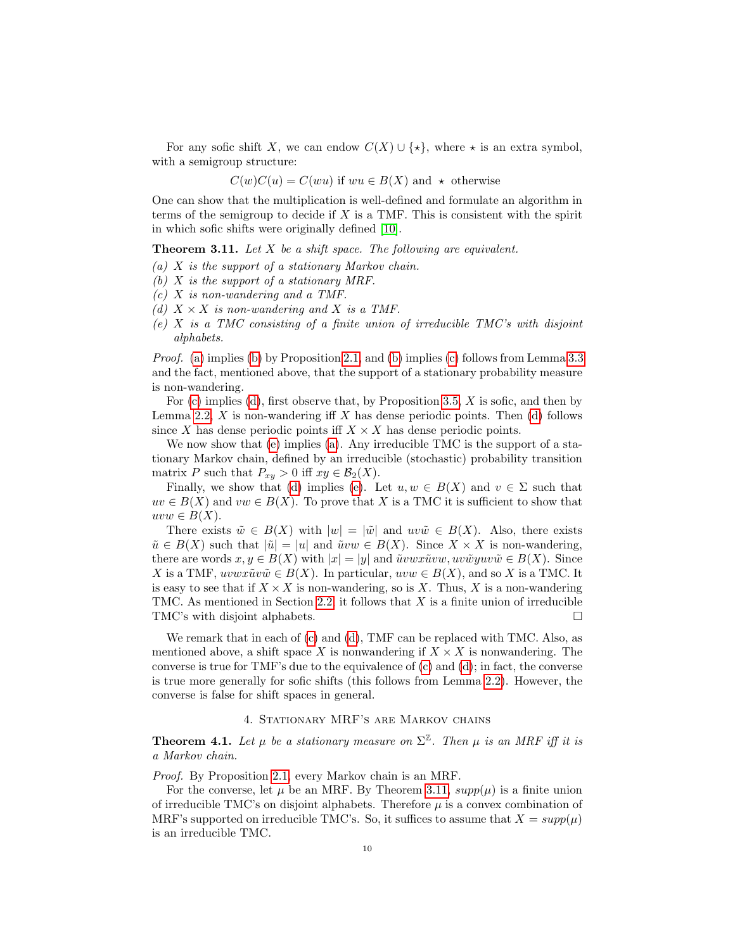For any sofic shift X, we can endow  $C(X) \cup \{ \star \}$ , where  $\star$  is an extra symbol, with a semigroup structure:

$$
C(w)C(u) = C(wu)
$$
 if  $wu \in B(X)$  and  $\star$  otherwise

One can show that the multiplication is well-defined and formulate an algorithm in terms of the semigroup to decide if  $X$  is a TMF. This is consistent with the spirit in which sofic shifts were originally defined [\[10\]](#page-14-6).

<span id="page-9-5"></span>**Theorem 3.11.** Let  $X$  be a shift space. The following are equivalent.

- <span id="page-9-0"></span>(a)  $X$  is the support of a stationary Markov chain.
- <span id="page-9-1"></span>(b)  $X$  is the support of a stationary MRF.
- <span id="page-9-2"></span>(c) X is non-wandering and a TMF.
- <span id="page-9-3"></span>(d)  $X \times X$  is non-wandering and X is a TMF.
- <span id="page-9-4"></span> $(e)$  X is a TMC consisting of a finite union of irreducible TMC's with disjoint alphabets.

Proof. [\(a\)](#page-9-0) implies [\(b\)](#page-9-1) by Proposition [2.1,](#page-1-0) and [\(b\)](#page-9-1) implies [\(c\)](#page-9-2) follows from Lemma [3.3](#page-5-1) and the fact, mentioned above, that the support of a stationary probability measure is non-wandering.

For  $(c)$  implies  $(d)$ , first observe that, by Proposition [3.5,](#page-6-3) X is sofic, and then by Lemma [2.2,](#page-4-1)  $X$  is non-wandering iff  $X$  has dense periodic points. Then [\(d\)](#page-9-3) follows since X has dense periodic points if  $X \times X$  has dense periodic points.

We now show that [\(e\)](#page-9-4) implies [\(a\)](#page-9-0). Any irreducible TMC is the support of a stationary Markov chain, defined by an irreducible (stochastic) probability transition matrix P such that  $P_{xy} > 0$  iff  $xy \in \mathcal{B}_2(X)$ .

Finally, we show that [\(d\)](#page-9-3) implies [\(e\)](#page-9-4). Let  $u, w \in B(X)$  and  $v \in \Sigma$  such that  $uv \in B(X)$  and  $vw \in B(X)$ . To prove that X is a TMC it is sufficient to show that  $uvw \in B(X)$ .

There exists  $\tilde{w} \in B(X)$  with  $|w| = |\tilde{w}|$  and  $uv\tilde{w} \in B(X)$ . Also, there exists  $\tilde{u} \in B(X)$  such that  $|\tilde{u}| = |u|$  and  $\tilde{u}vw \in B(X)$ . Since  $X \times X$  is non-wandering, there are words  $x, y \in B(X)$  with  $|x| = |y|$  and  $\tilde{u}vwx\tilde{u}vw, uv\tilde{w}yw\tilde{w} \in B(X)$ . Since X is a TMF,  $uvwx\tilde{u}v\tilde{w} \in B(X)$ . In particular,  $uvw \in B(X)$ , and so X is a TMC. It is easy to see that if  $X \times X$  is non-wandering, so is X. Thus, X is a non-wandering TMC. As mentioned in Section [2.2,](#page-2-0) it follows that  $X$  is a finite union of irreducible TMC's with disjoint alphabets.

We remark that in each of [\(c\)](#page-9-2) and [\(d\)](#page-9-3), TMF can be replaced with TMC. Also, as mentioned above, a shift space X is nonwandering if  $X \times X$  is nonwandering. The converse is true for TMF's due to the equivalence of [\(c\)](#page-9-2) and [\(d\)](#page-9-3); in fact, the converse is true more generally for sofic shifts (this follows from Lemma [2.2\)](#page-4-1). However, the converse is false for shift spaces in general.

## 4. STATIONARY MRF'S ARE MARKOV CHAINS

<span id="page-9-6"></span>**Theorem 4.1.** Let  $\mu$  be a stationary measure on  $\Sigma^{\mathbb{Z}}$ . Then  $\mu$  is an MRF iff it is a Markov chain.

Proof. By Proposition [2.1,](#page-1-0) every Markov chain is an MRF.

For the converse, let  $\mu$  be an MRF. By Theorem [3.11,](#page-9-5)  $supp(\mu)$  is a finite union of irreducible TMC's on disjoint alphabets. Therefore  $\mu$  is a convex combination of MRF's supported on irreducible TMC's. So, it suffices to assume that  $X = supp(\mu)$ is an irreducible TMC.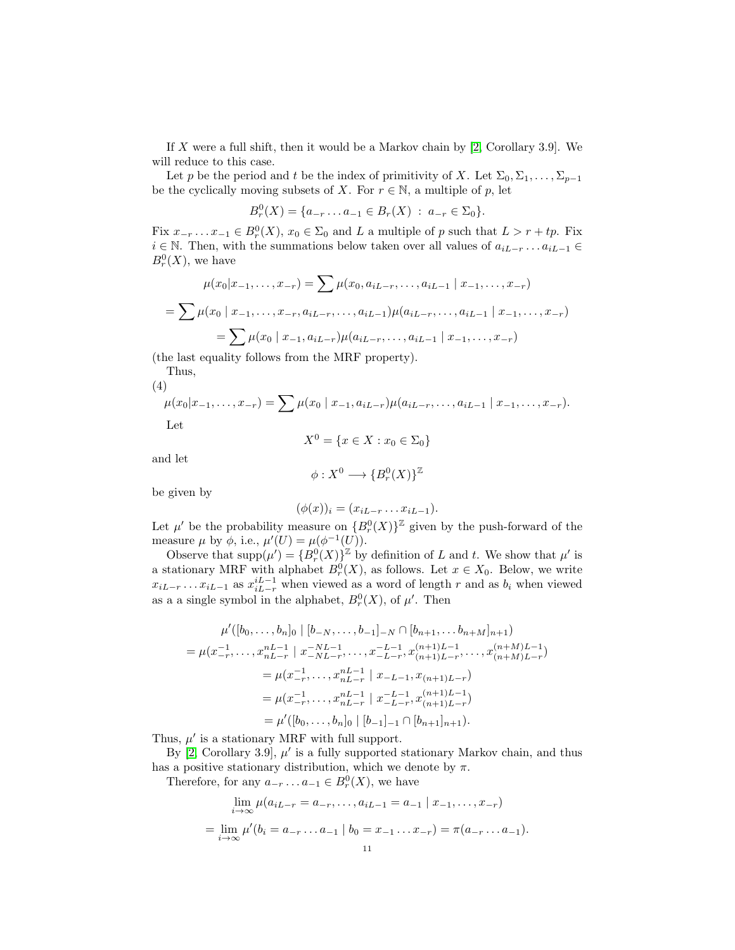If  $X$  were a full shift, then it would be a Markov chain by [\[2,](#page-14-1) Corollary 3.9]. We will reduce to this case.

Let p be the period and t be the index of primitivity of X. Let  $\Sigma_0, \Sigma_1, \ldots, \Sigma_{p-1}$ be the cyclically moving subsets of X. For  $r \in \mathbb{N}$ , a multiple of p, let

$$
B_r^0(X) = \{a_{-r} \dots a_{-1} \in B_r(X) : a_{-r} \in \Sigma_0\}.
$$

Fix  $x_{-r} \ldots x_{-1} \in B_r^0(X)$ ,  $x_0 \in \Sigma_0$  and L a multiple of p such that  $L > r + tp$ . Fix  $i \in \mathbb{N}$ . Then, with the summations below taken over all values of  $a_{iL-r} \ldots a_{iL-1}$  $B_r^0(X)$ , we have

$$
\mu(x_0|x_{-1},\ldots,x_{-r}) = \sum \mu(x_0, a_{iL-r},\ldots,a_{iL-1} | x_{-1},\ldots,x_{-r})
$$

$$
= \sum \mu(x_0 | x_{-1},\ldots,x_{-r}, a_{iL-r},\ldots,a_{iL-1}) \mu(a_{iL-r},\ldots,a_{iL-1} | x_{-1},\ldots,x_{-r})
$$

$$
= \sum \mu(x_0 | x_{-1}, a_{iL-r}) \mu(a_{iL-r},\ldots,a_{iL-1} | x_{-1},\ldots,x_{-r})
$$

(the last equality follows from the MRF property).

Thus, (4)

<span id="page-10-0"></span>
$$
\mu(x_0|x_{-1},\ldots,x_{-r}) = \sum \mu(x_0 \mid x_{-1}, a_{iL-r}) \mu(a_{iL-r},\ldots,a_{iL-1} \mid x_{-1},\ldots,x_{-r}).
$$
  
Let

$$
X^0 = \{x \in X : x_0 \in \Sigma_0\}
$$

and let

$$
\phi: X^0 \longrightarrow \{B_r^0(X)\}^{\mathbb{Z}}
$$

be given by

$$
(\phi(x))_i = (x_{iL-r} \dots x_{iL-1}).
$$

Let  $\mu'$  be the probability measure on  ${B_r^0(X)}^{\mathbb{Z}}$  given by the push-forward of the measure  $\mu$  by  $\phi$ , i.e.,  $\mu'(U) = \mu(\phi^{-1}(U))$ .

Observe that  $\text{supp}(\mu') = \{B_r^0(X)\}^{\mathbb{Z}}$  by definition of L and t. We show that  $\mu'$  is Observe that  $\text{supp}(\mu) = \{D_r(X)\}\$  by definition of L and l. We show that  $\mu$  is<br>a stationary MRF with alphabet  $B_r^0(X)$ , as follows. Let  $x \in X_0$ . Below, we write  $x_{iL-r} \dots x_{iL-1}$  as  $x_{iL-r}^{iL-1}$  when viewed as a word of length r and as  $b_i$  when viewed as a a single symbol in the alphabet,  $B_r^0(X)$ , of  $\mu'$ . Then

$$
\mu'([b_0, \ldots, b_n]_0 \mid [b_{-N}, \ldots, b_{-1}]_{-N} \cap [b_{n+1}, \ldots, b_{n+M}]_{n+1})
$$
\n
$$
= \mu(x_{-r}^{-1}, \ldots, x_{nL-r}^{nL-1} \mid x_{-NL-r}^{-N} \ldots, x_{-L-r}^{-L-1}, x_{(n+1)L-r}^{(n+1)L-1}, \ldots, x_{(n+M)L-r}^{(n+M)L-1})
$$
\n
$$
= \mu(x_{-r}^{-1}, \ldots, x_{nL-r}^{-N} \mid x_{-L-1}, x_{(n+1)L-r})
$$
\n
$$
= \mu(x_{-r}^{-1}, \ldots, x_{nL-r}^{-N} \mid x_{-L-r}^{-1}, x_{(n+1)L-r}^{(n+1)L-1})
$$
\n
$$
= \mu'([b_0, \ldots, b_n]_0 \mid [b_{-1}]_{-1} \cap [b_{n+1}]_{n+1}).
$$

Thus,  $\mu'$  is a stationary MRF with full support.

By  $[2, Corollary 3.9],  $\mu'$  is a fully supported stationary Markov chain, and thus$  $[2, Corollary 3.9],  $\mu'$  is a fully supported stationary Markov chain, and thus$ has a positive stationary distribution, which we denote by  $\pi$ .

Therefore, for any  $a_{-r} \ldots a_{-1} \in B_r^0(X)$ , we have

$$
\lim_{i \to \infty} \mu(a_{iL-r} = a_{-r}, \dots, a_{iL-1} = a_{-1} | x_{-1}, \dots, x_{-r})
$$
  
= 
$$
\lim_{i \to \infty} \mu'(b_i = a_{-r} \dots a_{-1} | b_0 = x_{-1} \dots x_{-r}) = \pi(a_{-r} \dots a_{-1}).
$$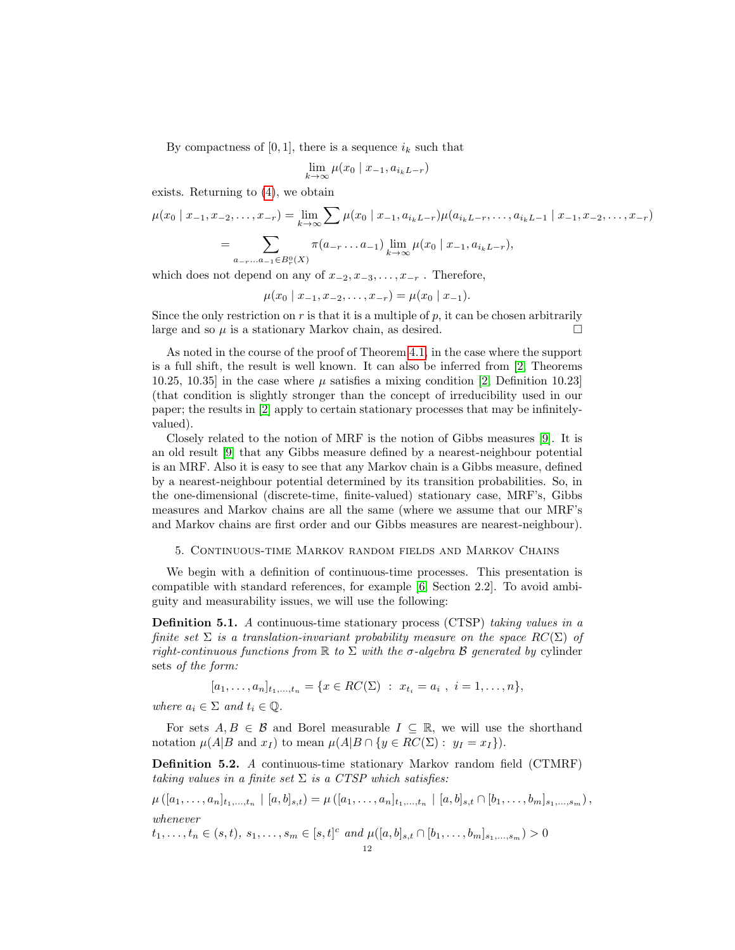By compactness of [0, 1], there is a sequence  $i_k$  such that

$$
\lim_{k \to \infty} \mu(x_0 \mid x_{-1}, a_{i_k L - r})
$$

exists. Returning to [\(4\)](#page-10-0), we obtain

$$
\mu(x_0 \mid x_{-1}, x_{-2}, \dots, x_{-r}) = \lim_{k \to \infty} \sum \mu(x_0 \mid x_{-1}, a_{i_k L - r}) \mu(a_{i_k L - r}, \dots, a_{i_k L - 1} \mid x_{-1}, x_{-2}, \dots, x_{-r})
$$

$$
= \sum_{a_{-r} \dots a_{-1} \in B_r^0(X)} \pi(a_{-r} \dots a_{-1}) \lim_{k \to \infty} \mu(x_0 \mid x_{-1}, a_{i_k L - r}),
$$

which does not depend on any of  $x_{-2}, x_{-3}, \ldots, x_{-r}$ . Therefore,

$$
\mu(x_0 \mid x_{-1}, x_{-2}, \dots, x_{-r}) = \mu(x_0 \mid x_{-1}).
$$

Since the only restriction on  $r$  is that it is a multiple of  $p$ , it can be chosen arbitrarily large and so  $\mu$  is a stationary Markov chain, as desired.  $\square$ 

As noted in the course of the proof of Theorem [4.1,](#page-9-6) in the case where the support is a full shift, the result is well known. It can also be inferred from [\[2,](#page-14-1) Theorems 10.25, 10.35] in the case where  $\mu$  satisfies a mixing condition [\[2,](#page-14-1) Definition 10.23] (that condition is slightly stronger than the concept of irreducibility used in our paper; the results in [\[2\]](#page-14-1) apply to certain stationary processes that may be infinitelyvalued).

Closely related to the notion of MRF is the notion of Gibbs measures [\[9\]](#page-14-7). It is an old result [\[9\]](#page-14-7) that any Gibbs measure defined by a nearest-neighbour potential is an MRF. Also it is easy to see that any Markov chain is a Gibbs measure, defined by a nearest-neighbour potential determined by its transition probabilities. So, in the one-dimensional (discrete-time, finite-valued) stationary case, MRF's, Gibbs measures and Markov chains are all the same (where we assume that our MRF's and Markov chains are first order and our Gibbs measures are nearest-neighbour).

### <span id="page-11-0"></span>5. Continuous-time Markov random fields and Markov Chains

We begin with a definition of continuous-time processes. This presentation is compatible with standard references, for example [\[6,](#page-14-8) Section 2.2]. To avoid ambiguity and measurability issues, we will use the following:

Definition 5.1. A continuous-time stationary process (CTSP) taking values in a finite set  $\Sigma$  is a translation-invariant probability measure on the space  $RC(\Sigma)$  of right-continuous functions from  $\mathbb R$  to  $\Sigma$  with the  $\sigma$ -algebra  $\mathcal B$  generated by cylinder sets of the form:

 $[a_1, \ldots, a_n]_{t_1, \ldots, t_n} = \{x \in RC(\Sigma) : x_{t_i} = a_i , i = 1, \ldots, n\},\$ 

where  $a_i \in \Sigma$  and  $t_i \in \mathbb{Q}$ .

For sets  $A, B \in \mathcal{B}$  and Borel measurable  $I \subseteq \mathbb{R}$ , we will use the shorthand notation  $\mu(A|B \text{ and } x_I)$  to mean  $\mu(A|B \cap \{y \in RC(\Sigma): y_I = x_I\}).$ 

Definition 5.2. A continuous-time stationary Markov random field (CTMRF) taking values in a finite set  $\Sigma$  is a CTSP which satisfies:

$$
\mu([a_1,\ldots,a_n]_{t_1,\ldots,t_n} \mid [a,b]_{s,t}) = \mu([a_1,\ldots,a_n]_{t_1,\ldots,t_n} \mid [a,b]_{s,t} \cap [b_1,\ldots,b_m]_{s_1,\ldots,s_m}),
$$
  
whenever

 $t_1, \ldots, t_n \in (s, t), s_1, \ldots, s_m \in [s, t]^c \text{ and } \mu([a, b]_{s,t} \cap [b_1, \ldots, b_m]_{s_1, \ldots, s_m}) > 0$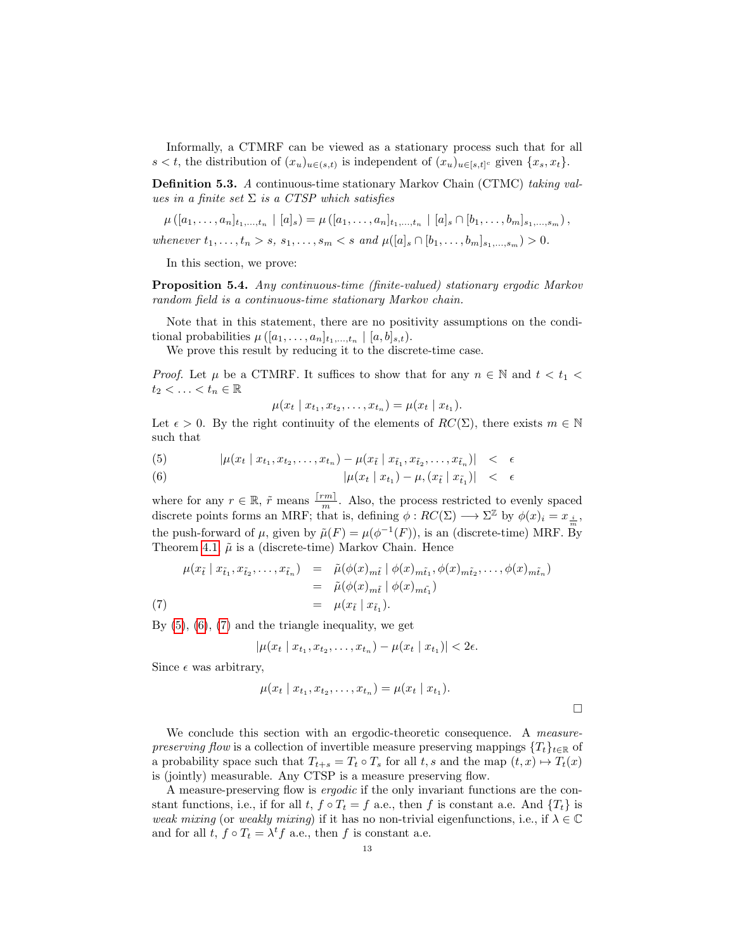Informally, a CTMRF can be viewed as a stationary process such that for all s < t, the distribution of  $(x_u)_{u \in (s,t)}$  is independent of  $(x_u)_{u \in [s,t]^c}$  given  $\{x_s, x_t\}$ .

Definition 5.3. A continuous-time stationary Markov Chain (CTMC) taking values in a finite set  $\Sigma$  is a CTSP which satisfies

$$
\mu([a_1,\ldots,a_n]_{t_1,\ldots,t_n} \mid [a]_s) = \mu([a_1,\ldots,a_n]_{t_1,\ldots,t_n} \mid [a]_s \cap [b_1,\ldots,b_m]_{s_1,\ldots,s_m}),
$$

whenever  $t_1, \ldots, t_n > s$ ,  $s_1, \ldots, s_m < s$  and  $\mu([a]_s \cap [b_1, \ldots, b_m]_{s_1, \ldots, s_m}) > 0$ .

In this section, we prove:

<span id="page-12-2"></span>Proposition 5.4. Any continuous-time (finite-valued) stationary ergodic Markov random field is a continuous-time stationary Markov chain.

Note that in this statement, there are no positivity assumptions on the conditional probabilities  $\mu([a_1,\ldots,a_n]_{t_1,\ldots,t_n} \mid [a,b]_{s,t}).$ 

We prove this result by reducing it to the discrete-time case.

*Proof.* Let  $\mu$  be a CTMRF. It suffices to show that for any  $n \in \mathbb{N}$  and  $t < t_1$  $t_2 < \ldots < t_n \in \mathbb{R}$ 

$$
\mu(x_t | x_{t_1}, x_{t_2}, \dots, x_{t_n}) = \mu(x_t | x_{t_1}).
$$

Let  $\epsilon > 0$ . By the right continuity of the elements of  $RC(\Sigma)$ , there exists  $m \in \mathbb{N}$ such that

<span id="page-12-0"></span>(5) 
$$
|\mu(x_t | x_{t_1}, x_{t_2}, \dots, x_{t_n}) - \mu(x_{\tilde{t}} | x_{\tilde{t}_1}, x_{\tilde{t}_2}, \dots, x_{\tilde{t}_n})| < \epsilon
$$

(6) 
$$
|\mu(x_t | x_{t_1}) - \mu, (x_{\tilde{t}} | x_{\tilde{t}_1})| < \epsilon
$$

where for any  $r \in \mathbb{R}$ ,  $\tilde{r}$  means  $\frac{[rm]}{m}$ . Also, the process restricted to evenly spaced discrete points forms an MRF; that is, defining  $\phi: RC(\Sigma) \longrightarrow \Sigma^{\mathbb{Z}}$  by  $\phi(x)_i = x_{\frac{i}{m}}$ , the push-forward of  $\mu$ , given by  $\tilde{\mu}(F) = \mu(\phi^{-1}(F))$ , is an (discrete-time) MRF. By Theorem [4.1,](#page-9-6)  $\tilde{\mu}$  is a (discrete-time) Markov Chain. Hence

<span id="page-12-1"></span>
$$
\mu(x_{\tilde{t}} \mid x_{\tilde{t}_1}, x_{\tilde{t}_2}, \dots, x_{\tilde{t}_n}) = \tilde{\mu}(\phi(x)_{m\tilde{t}} \mid \phi(x)_{m\tilde{t}_1}, \phi(x)_{m\tilde{t}_2}, \dots, \phi(x)_{m\tilde{t}_n})
$$
  
\n
$$
= \tilde{\mu}(\phi(x)_{m\tilde{t}} \mid \phi(x)_{m\tilde{t}_1})
$$
  
\n
$$
= \mu(x_{\tilde{t}} \mid x_{\tilde{t}_1}).
$$

By  $(5)$ ,  $(6)$ ,  $(7)$  and the triangle inequality, we get

$$
|\mu(x_t | x_{t_1}, x_{t_2}, \dots, x_{t_n}) - \mu(x_t | x_{t_1})| < 2\epsilon.
$$

Since  $\epsilon$  was arbitrary,

$$
\mu(x_t | x_{t_1}, x_{t_2}, \dots, x_{t_n}) = \mu(x_t | x_{t_1}).
$$

We conclude this section with an ergodic-theoretic consequence. A measurepreserving flow is a collection of invertible measure preserving mappings  ${T_t}_{t \in \mathbb{R}}$  of a probability space such that  $T_{t+s} = T_t \circ T_s$  for all  $t, s$  and the map  $(t, x) \mapsto T_t(x)$ is (jointly) measurable. Any CTSP is a measure preserving flow.

A measure-preserving flow is ergodic if the only invariant functions are the constant functions, i.e., if for all  $t, f \circ T_t = f$  a.e., then f is constant a.e. And  $\{T_t\}$  is weak mixing (or weakly mixing) if it has no non-trivial eigenfunctions, i.e., if  $\lambda \in \mathbb{C}$ and for all  $t, f \circ T_t = \lambda^t f$  a.e., then f is constant a.e.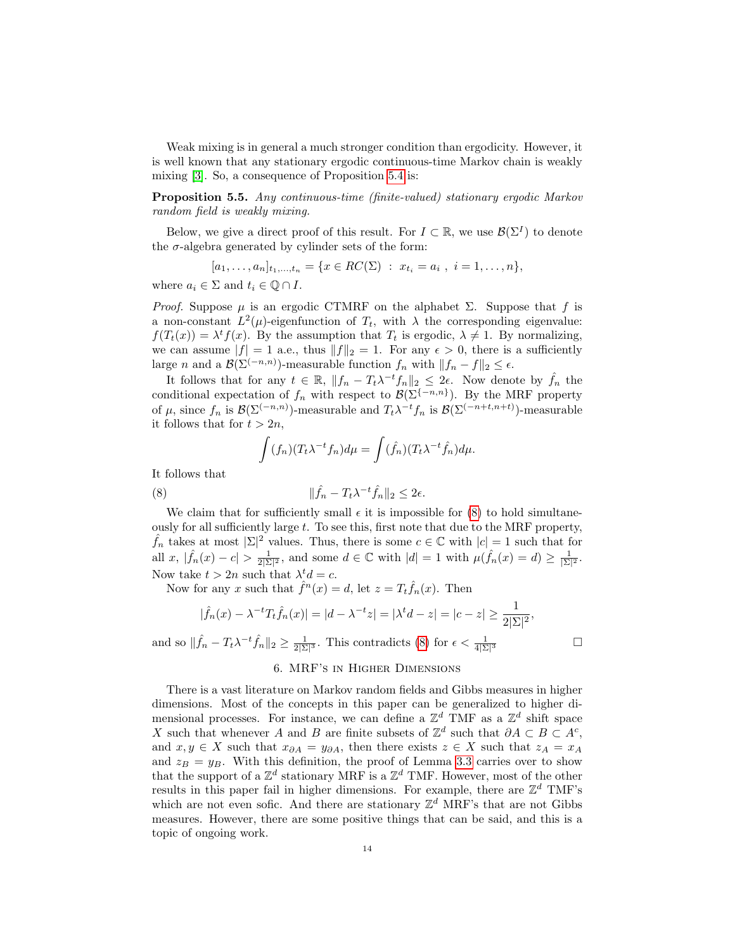Weak mixing is in general a much stronger condition than ergodicity. However, it is well known that any stationary ergodic continuous-time Markov chain is weakly mixing [\[3\]](#page-14-9). So, a consequence of Proposition [5.4](#page-12-2) is:

Proposition 5.5. Any continuous-time (finite-valued) stationary ergodic Markov random field is weakly mixing.

Below, we give a direct proof of this result. For  $I \subset \mathbb{R}$ , we use  $\mathcal{B}(\Sigma^I)$  to denote the  $\sigma$ -algebra generated by cylinder sets of the form:

$$
[a_1, \ldots, a_n]_{t_1, \ldots, t_n} = \{ x \in RC(\Sigma) : x_{t_i} = a_i , i = 1, \ldots, n \},
$$

where  $a_i \in \Sigma$  and  $t_i \in \mathbb{O} \cap I$ .

*Proof.* Suppose  $\mu$  is an ergodic CTMRF on the alphabet  $\Sigma$ . Suppose that f is a non-constant  $L^2(\mu)$ -eigenfunction of  $T_t$ , with  $\lambda$  the corresponding eigenvalue:  $f(T_t(x)) = \lambda^t f(x)$ . By the assumption that  $T_t$  is ergodic,  $\lambda \neq 1$ . By normalizing, we can assume  $|f| = 1$  a.e., thus  $||f||_2 = 1$ . For any  $\epsilon > 0$ , there is a sufficiently large *n* and a  $\mathcal{B}(\Sigma^{(-n,n)})$ -measurable function  $f_n$  with  $||f_n - f||_2 \leq \epsilon$ .

It follows that for any  $t \in \mathbb{R}$ ,  $||f_n - T_t \lambda^{-t} f_n||_2 \leq 2\epsilon$ . Now denote by  $\hat{f}_n$  the conditional expectation of  $f_n$  with respect to  $\mathcal{B}(\Sigma^{\{-n,n\}})$ . By the MRF property of  $\mu$ , since  $f_n$  is  $\mathcal{B}(\Sigma^{(-n,n)})$ -measurable and  $T_t \lambda^{-t} f_n$  is  $\mathcal{B}(\Sigma^{(-n+t,n+t)})$ -measurable it follows that for  $t > 2n$ ,

<span id="page-13-0"></span>
$$
\int (f_n)(T_t\lambda^{-t}f_n)d\mu = \int (\hat{f}_n)(T_t\lambda^{-t}\hat{f}_n)d\mu.
$$

It follows that

(8) 
$$
\|\hat{f}_n - T_t \lambda^{-t} \hat{f}_n\|_2 \leq 2\epsilon.
$$

We claim that for sufficiently small  $\epsilon$  it is impossible for [\(8\)](#page-13-0) to hold simultaneously for all sufficiently large  $t$ . To see this, first note that due to the MRF property,  $\hat{f}_n$  takes at most  $|\Sigma|^2$  values. Thus, there is some  $c \in \mathbb{C}$  with  $|c| = 1$  such that for all  $x, |\hat{f}_n(x) - c| > \frac{1}{2|\Sigma|^2}$ , and some  $d \in \mathbb{C}$  with  $|d| = 1$  with  $\mu(\hat{f}_n(x) = d) \ge \frac{1}{|\Sigma|^2}$ . Now take  $t > 2n$  such that  $\lambda^t d = c$ .

Now for any x such that  $\hat{f}^n(x) = d$ , let  $z = T_t \hat{f}_n(x)$ . Then

$$
|\hat{f}_n(x) - \lambda^{-t} T_t \hat{f}_n(x)| = |d - \lambda^{-t} z| = |\lambda^t d - z| = |c - z| \ge \frac{1}{2|\Sigma|^2},
$$
  
and so  $\|\hat{f}_n - T_t \lambda^{-t} \hat{f}_n\|_2 \ge \frac{1}{2|\Sigma|^3}$ . This contradicts (8) for  $\epsilon < \frac{1}{4|\Sigma|^3}$ 

### 6. MRF's in Higher Dimensions

There is a vast literature on Markov random fields and Gibbs measures in higher dimensions. Most of the concepts in this paper can be generalized to higher dimensional processes. For instance, we can define a  $\mathbb{Z}^d$  TMF as a  $\mathbb{Z}^d$  shift space X such that whenever A and B are finite subsets of  $\mathbb{Z}^d$  such that  $\partial A \subset B \subset A^c$ , and  $x, y \in X$  such that  $x_{\partial A} = y_{\partial A}$ , then there exists  $z \in X$  such that  $z_A = x_A$ and  $z_B = y_B$ . With this definition, the proof of Lemma [3.3](#page-5-1) carries over to show that the support of a  $\mathbb{Z}^d$  stationary MRF is a  $\mathbb{Z}^d$  TMF. However, most of the other results in this paper fail in higher dimensions. For example, there are  $\mathbb{Z}^d$  TMF's which are not even sofic. And there are stationary  $\mathbb{Z}^d$  MRF's that are not Gibbs measures. However, there are some positive things that can be said, and this is a topic of ongoing work.